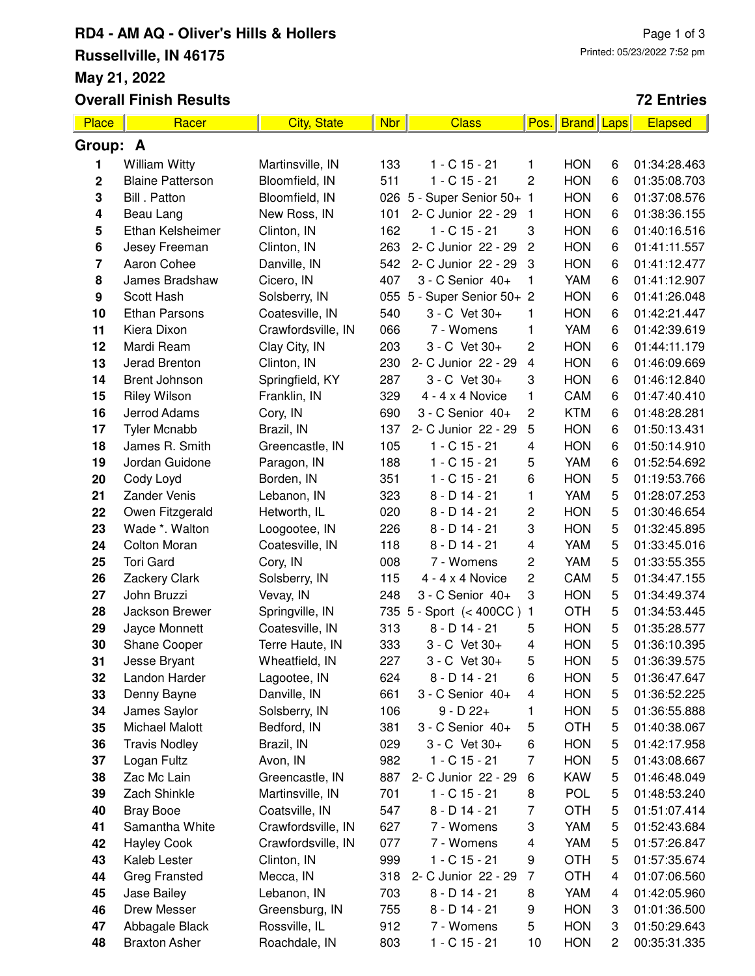## **RD4 - AM AQ - Oliver's Hills & Hollers Russellville, IN 46175 May 21, 2022 Overall Finish Results**

#### **72 Entries**

| Place            | Racer                   | <b>City, State</b> | <b>Nbr</b> | <b>Class</b>               | Pos.                    | <b>Brand Laps</b> |   | <b>Elapsed</b> |  |
|------------------|-------------------------|--------------------|------------|----------------------------|-------------------------|-------------------|---|----------------|--|
|                  | Group: A                |                    |            |                            |                         |                   |   |                |  |
| 1                | <b>William Witty</b>    | Martinsville, IN   | 133        | $1 - C$ 15 - 21            | 1                       | <b>HON</b>        | 6 | 01:34:28.463   |  |
| 2                | <b>Blaine Patterson</b> | Bloomfield, IN     | 511        | $1 - C$ 15 - 21            | 2                       | <b>HON</b>        | 6 | 01:35:08.703   |  |
| 3                | Bill . Patton           | Bloomfield, IN     | 026        | 5 - Super Senior 50+ 1     |                         | <b>HON</b>        | 6 | 01:37:08.576   |  |
| 4                | Beau Lang               | New Ross, IN       | 101        | 2- C Junior 22 - 29        | $\mathbf{1}$            | <b>HON</b>        | 6 | 01:38:36.155   |  |
| 5                | Ethan Kelsheimer        | Clinton, IN        | 162        | $1 - C$ 15 - 21            | 3                       | <b>HON</b>        | 6 | 01:40:16.516   |  |
| 6                | Jesey Freeman           | Clinton, IN        | 263        | 2- C Junior 22 - 29        | $\overline{c}$          | <b>HON</b>        | 6 | 01:41:11.557   |  |
| 7                | Aaron Cohee             | Danville, IN       | 542        | 2- C Junior 22 - 29        | 3                       | <b>HON</b>        | 6 | 01:41:12.477   |  |
| 8                | James Bradshaw          | Cicero, IN         | 407        | 3 - C Senior 40+           | 1                       | YAM               | 6 | 01:41:12.907   |  |
| $\boldsymbol{9}$ | Scott Hash              | Solsberry, IN      |            | 055 5 - Super Senior 50+ 2 |                         | <b>HON</b>        | 6 | 01:41:26.048   |  |
| 10               | <b>Ethan Parsons</b>    | Coatesville, IN    | 540        | 3 - C Vet 30+              | 1                       | <b>HON</b>        | 6 | 01:42:21.447   |  |
| 11               | Kiera Dixon             | Crawfordsville, IN | 066        | 7 - Womens                 | 1                       | YAM               | 6 | 01:42:39.619   |  |
| 12               | Mardi Ream              | Clay City, IN      | 203        | 3 - C Vet 30+              | 2                       | <b>HON</b>        | 6 | 01:44:11.179   |  |
| 13               | Jerad Brenton           | Clinton, IN        | 230        | 2- C Junior 22 - 29        | $\overline{\mathbf{4}}$ | <b>HON</b>        | 6 | 01:46:09.669   |  |
| 14               | <b>Brent Johnson</b>    | Springfield, KY    | 287        | 3 - C Vet 30+              | 3                       | <b>HON</b>        | 6 | 01:46:12.840   |  |
| 15               | <b>Riley Wilson</b>     | Franklin, IN       | 329        | $4 - 4 \times 4$ Novice    | 1                       | CAM               | 6 | 01:47:40.410   |  |
| 16               | Jerrod Adams            | Cory, IN           | 690        | 3 - C Senior 40+           | 2                       | <b>KTM</b>        | 6 | 01:48:28.281   |  |
| 17               | <b>Tyler Mcnabb</b>     | Brazil, IN         | 137        | 2- C Junior 22 - 29        | 5                       | <b>HON</b>        | 6 | 01:50:13.431   |  |
| 18               | James R. Smith          | Greencastle, IN    | 105        | $1 - C$ 15 - 21            | 4                       | <b>HON</b>        | 6 | 01:50:14.910   |  |
| 19               | Jordan Guidone          | Paragon, IN        | 188        | $1 - C$ 15 - 21            | 5                       | YAM               | 6 | 01:52:54.692   |  |
| 20               | Cody Loyd               | Borden, IN         | 351        | $1 - C$ 15 - 21            | 6                       | <b>HON</b>        | 5 | 01:19:53.766   |  |
| 21               | <b>Zander Venis</b>     | Lebanon, IN        | 323        | $8 - D$ 14 - 21            | 1                       | YAM               | 5 | 01:28:07.253   |  |
| 22               | Owen Fitzgerald         | Hetworth, IL       | 020        | $8 - D$ 14 - 21            | 2                       | <b>HON</b>        | 5 | 01:30:46.654   |  |
| 23               | Wade *. Walton          | Loogootee, IN      | 226        | $8 - D$ 14 - 21            | 3                       | <b>HON</b>        | 5 | 01:32:45.895   |  |
| 24               | <b>Colton Moran</b>     | Coatesville, IN    | 118        | $8 - D$ 14 - 21            | 4                       | YAM               | 5 | 01:33:45.016   |  |
| 25               | <b>Tori Gard</b>        | Cory, IN           | 008        | 7 - Womens                 | 2                       | YAM               | 5 | 01:33:55.355   |  |
| 26               | Zackery Clark           | Solsberry, IN      | 115        | $4 - 4 \times 4$ Novice    | $\overline{c}$          | CAM               | 5 | 01:34:47.155   |  |
| 27               | John Bruzzi             | Vevay, IN          | 248        | 3 - C Senior 40+           | 3                       | <b>HON</b>        | 5 | 01:34:49.374   |  |
| 28               | Jackson Brewer          | Springville, IN    |            | 735 5 - Sport (< 400CC)    | $\mathbf{1}$            | <b>OTH</b>        | 5 | 01:34:53.445   |  |
| 29               | Jayce Monnett           | Coatesville, IN    | 313        | $8 - D$ 14 - 21            | 5                       | <b>HON</b>        | 5 | 01:35:28.577   |  |
| 30               | Shane Cooper            | Terre Haute, IN    | 333        | 3 - C Vet 30+              | 4                       | <b>HON</b>        | 5 | 01:36:10.395   |  |
| 31               | Jesse Bryant            | Wheatfield, IN     | 227        | 3 - C Vet 30+              | 5                       | <b>HON</b>        | 5 | 01:36:39.575   |  |
| 32               | Landon Harder           | Lagootee, IN       | 624        | $8 - D$ 14 - 21            | 6                       | <b>HON</b>        | 5 | 01:36:47.647   |  |
| 33               | Denny Bayne             | Danville, IN       | 661        | 3 - C Senior 40+           | $\overline{\mathbf{4}}$ | <b>HON</b>        | 5 | 01:36:52.225   |  |
| 34               | James Saylor            | Solsberry, IN      | 106        | $9 - D 22 +$               | 1                       | <b>HON</b>        | 5 | 01:36:55.888   |  |
| 35               | Michael Malott          | Bedford, IN        | 381        | 3 - C Senior 40+           | 5                       | <b>OTH</b>        | 5 | 01:40:38.067   |  |
| 36               | <b>Travis Nodley</b>    | Brazil, IN         | 029        | 3 - C Vet 30+              | 6                       | <b>HON</b>        | 5 | 01:42:17.958   |  |
| 37               | Logan Fultz             | Avon, IN           | 982        | 1 - C 15 - 21              | $\overline{7}$          | <b>HON</b>        | 5 | 01:43:08.667   |  |
| 38               | Zac Mc Lain             | Greencastle, IN    | 887        | 2- C Junior 22 - 29        | 6                       | <b>KAW</b>        | 5 | 01:46:48.049   |  |
| 39               | Zach Shinkle            | Martinsville, IN   | 701        | $1 - C$ 15 - 21            | 8                       | <b>POL</b>        | 5 | 01:48:53.240   |  |
| 40               | <b>Bray Booe</b>        | Coatsville, IN     | 547        | $8 - D$ 14 - 21            | 7                       | <b>OTH</b>        | 5 | 01:51:07.414   |  |
| 41               | Samantha White          | Crawfordsville, IN | 627        | 7 - Womens                 | 3                       | YAM               | 5 | 01:52:43.684   |  |
| 42               | <b>Hayley Cook</b>      | Crawfordsville, IN | 077        | 7 - Womens                 | 4                       | YAM               | 5 | 01:57:26.847   |  |
| 43               | Kaleb Lester            | Clinton, IN        | 999        | $1 - C$ 15 - 21            | 9                       | <b>OTH</b>        | 5 | 01:57:35.674   |  |
| 44               | <b>Greg Fransted</b>    | Mecca, IN          | 318        | 2- C Junior 22 - 29        | $\overline{7}$          | OTH               | 4 | 01:07:06.560   |  |
| 45               | Jase Bailey             | Lebanon, IN        | 703        | $8 - D$ 14 - 21            | 8                       | YAM               | 4 | 01:42:05.960   |  |
| 46               | Drew Messer             | Greensburg, IN     | 755        | $8 - D$ 14 - 21            | 9                       | <b>HON</b>        | 3 | 01:01:36.500   |  |
| 47               | Abbagale Black          | Rossville, IL      | 912        | 7 - Womens                 | 5                       | <b>HON</b>        | 3 | 01:50:29.643   |  |
| 48               | <b>Braxton Asher</b>    | Roachdale, IN      | 803        | 1 - C 15 - 21              | 10                      | <b>HON</b>        | 2 | 00:35:31.335   |  |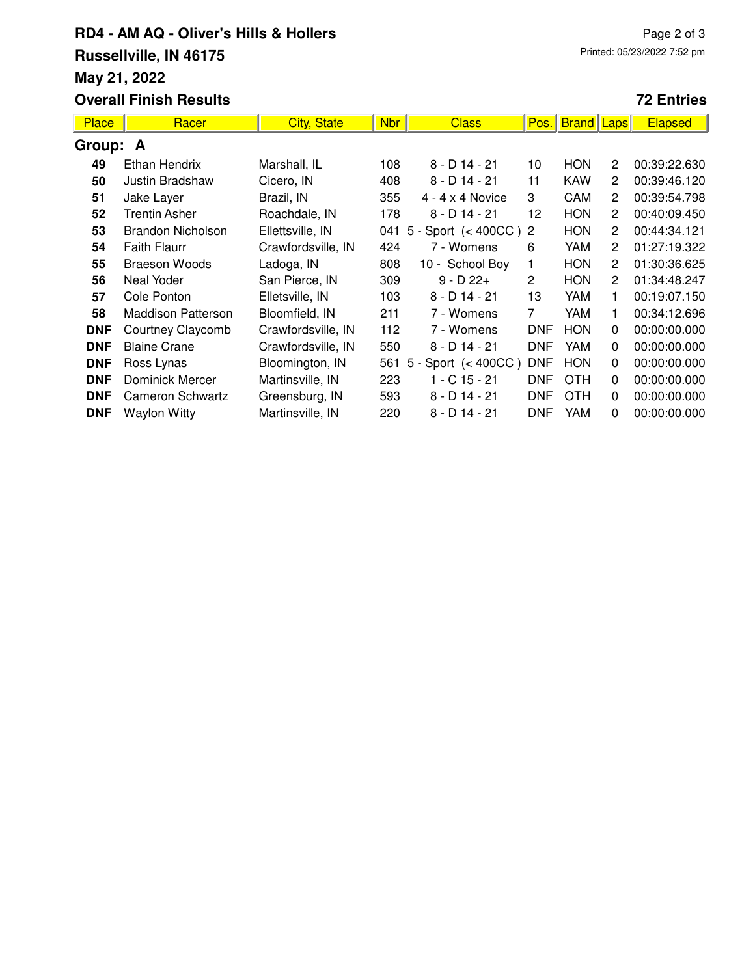# **RD4 - AM AQ - Oliver's Hills & Hollers Russellville, IN 46175 May 21, 2022**

### **72 Entries**

| <b>Place</b> | Racer                     | <b>City, State</b> | <b>Nbr</b> | <b>Class</b>             | Pos.                  | <b>Brand</b>   Laps |                | <b>Elapsed</b> |  |
|--------------|---------------------------|--------------------|------------|--------------------------|-----------------------|---------------------|----------------|----------------|--|
| Group: A     |                           |                    |            |                          |                       |                     |                |                |  |
| 49           | Ethan Hendrix             | Marshall, IL       | 108        | $8 - D$ 14 - 21          | 10                    | <b>HON</b>          | $\overline{2}$ | 00:39:22.630   |  |
| 50           | Justin Bradshaw           | Cicero, IN         | 408        | $8 - D$ 14 - 21          | 11                    | <b>KAW</b>          | $\overline{2}$ | 00:39:46.120   |  |
| 51           | Jake Layer                | Brazil, IN         | 355        | $4 - 4 \times 4$ Novice  | 3                     | CAM                 | 2              | 00:39:54.798   |  |
| 52           | Trentin Asher             | Roachdale, IN      | 178        | $8 - D$ 14 - 21          | 12                    | <b>HON</b>          | 2              | 00:40:09.450   |  |
| 53           | <b>Brandon Nicholson</b>  | Ellettsville, IN   | 041        | 5 - Sport $(< 400CC$ ) 2 |                       | <b>HON</b>          | $\overline{2}$ | 00:44:34.121   |  |
| 54           | <b>Faith Flaurr</b>       | Crawfordsville, IN | 424        | 7 - Womens               | 6                     | YAM                 | $\overline{2}$ | 01:27:19.322   |  |
| 55           | <b>Braeson Woods</b>      | Ladoga, IN         | 808        | 10 - School Boy          | $\mathbf{1}$          | <b>HON</b>          | $\overline{2}$ | 01:30:36.625   |  |
| 56           | Neal Yoder                | San Pierce, IN     | 309        | $9 - D 22 +$             | $\mathbf{2}^{\prime}$ | <b>HON</b>          | 2              | 01:34:48.247   |  |
| 57           | Cole Ponton               | Elletsville, IN    | 103        | $8 - D$ 14 - 21          | 13                    | <b>YAM</b>          | 1              | 00:19:07.150   |  |
| 58           | <b>Maddison Patterson</b> | Bloomfield, IN     | 211        | 7 - Womens               | $\overline{7}$        | YAM                 | 1              | 00:34:12.696   |  |
| <b>DNF</b>   | Courtney Claycomb         | Crawfordsville, IN | 112        | 7 - Womens               | <b>DNF</b>            | <b>HON</b>          | $\Omega$       | 00:00:00.000   |  |
| <b>DNF</b>   | <b>Blaine Crane</b>       | Crawfordsville, IN | 550        | $8 - D$ 14 - 21          | <b>DNF</b>            | YAM                 | $\Omega$       | 00:00:00.000   |  |
| <b>DNF</b>   | Ross Lynas                | Bloomington, IN    | 561        | $5 - Sport \leq 400CC$   | <b>DNF</b>            | <b>HON</b>          | 0              | 00:00:00.000   |  |
| <b>DNF</b>   | Dominick Mercer           | Martinsville, IN   | 223        | $1 - C$ 15 - 21          | <b>DNF</b>            | <b>OTH</b>          | 0              | 00:00:00.000   |  |
| <b>DNF</b>   | Cameron Schwartz          | Greensburg, IN     | 593        | $8 - D$ 14 - 21          | DNF                   | <b>OTH</b>          | 0              | 00:00:00.000   |  |
| <b>DNF</b>   | <b>Waylon Witty</b>       | Martinsville, IN   | 220        | $8 - D$ 14 - 21          | DNF                   | <b>YAM</b>          | 0              | 00:00:00.000   |  |